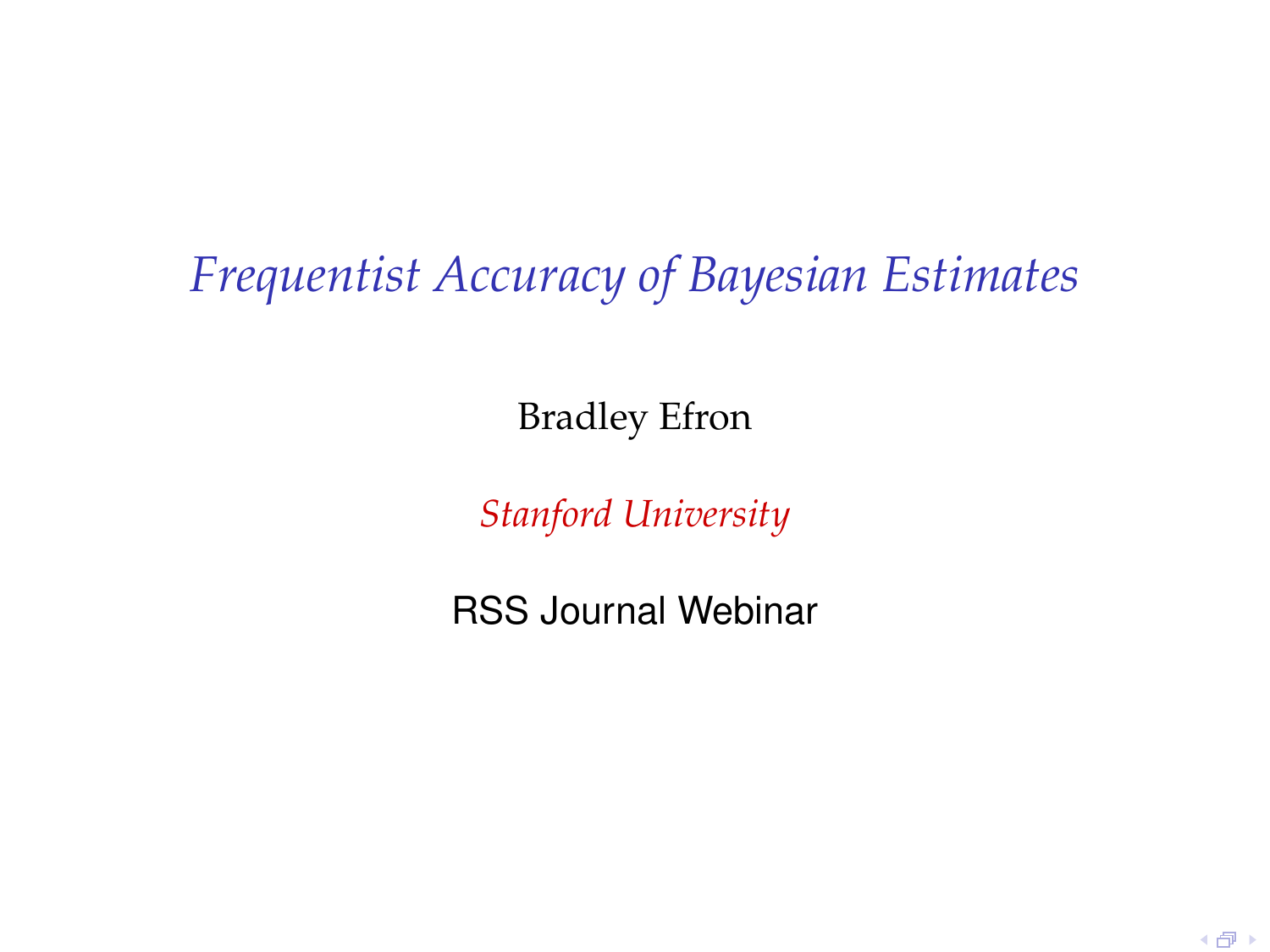# *Frequentist Accuracy of Bayesian Estimates*

Bradley Efron

*Stanford University*

<span id="page-0-0"></span>RSS Journal Webinar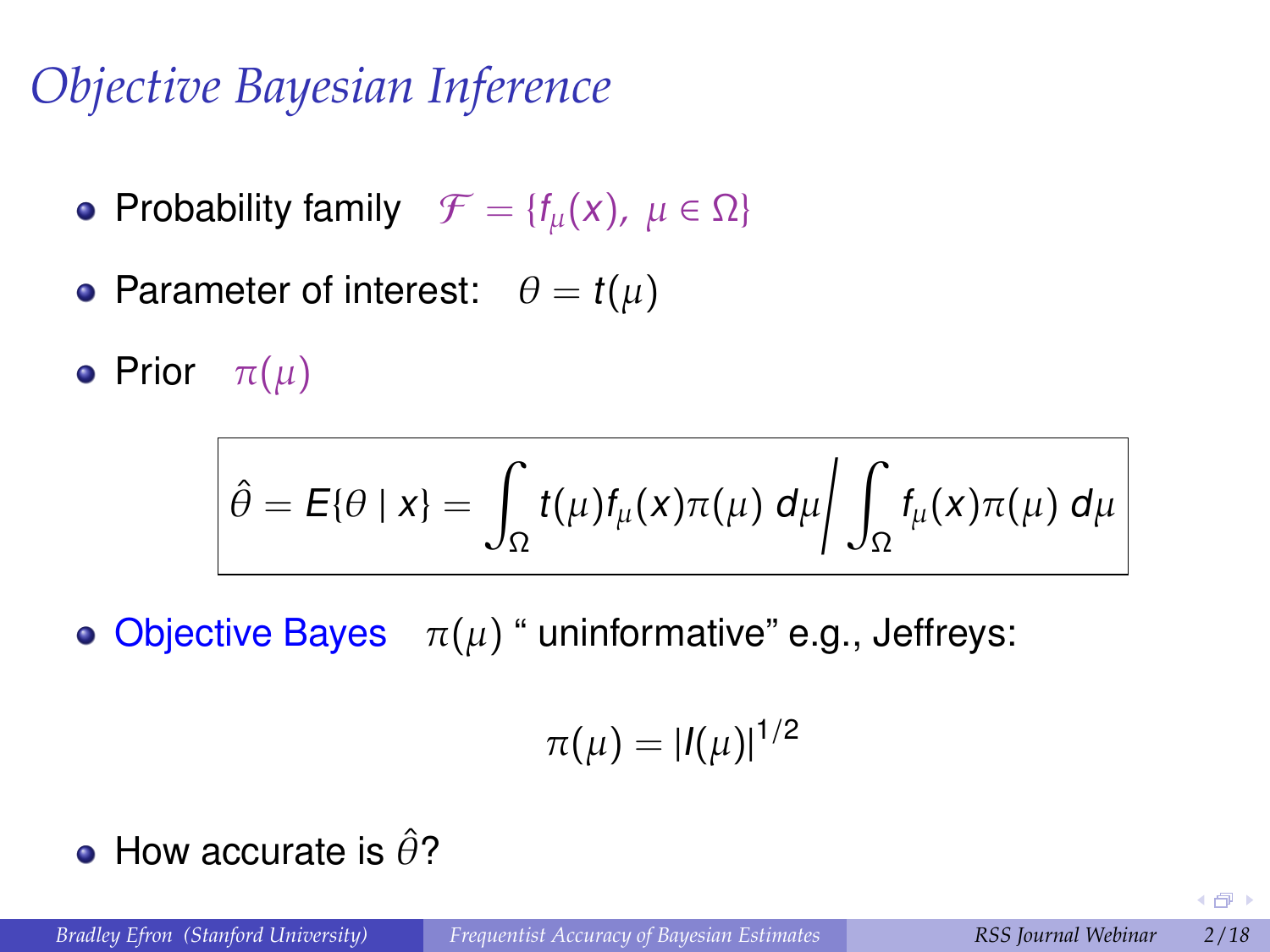# *Objective Bayesian Inference*

- Probability family  $\mathcal{F} = \{f_\mu(x), \mu \in \Omega\}$
- Parameter of interest:  $\theta = t(\mu)$

**•** Prior  $\pi(\mu)$ 

$$
\hat{\theta} = E\{\theta \mid x\} = \int_{\Omega} t(\mu) f_{\mu}(x) \pi(\mu) d\mu \bigg/ \int_{\Omega} f_{\mu}(x) \pi(\mu) d\mu
$$

• Objective Bayes  $\pi(\mu)$  " uninformative" e.g., Jeffreys:

$$
\pi(\mu)=|I(\mu)|^{1/2}
$$

• How accurate is  $\hat{\theta}$ ?

(包)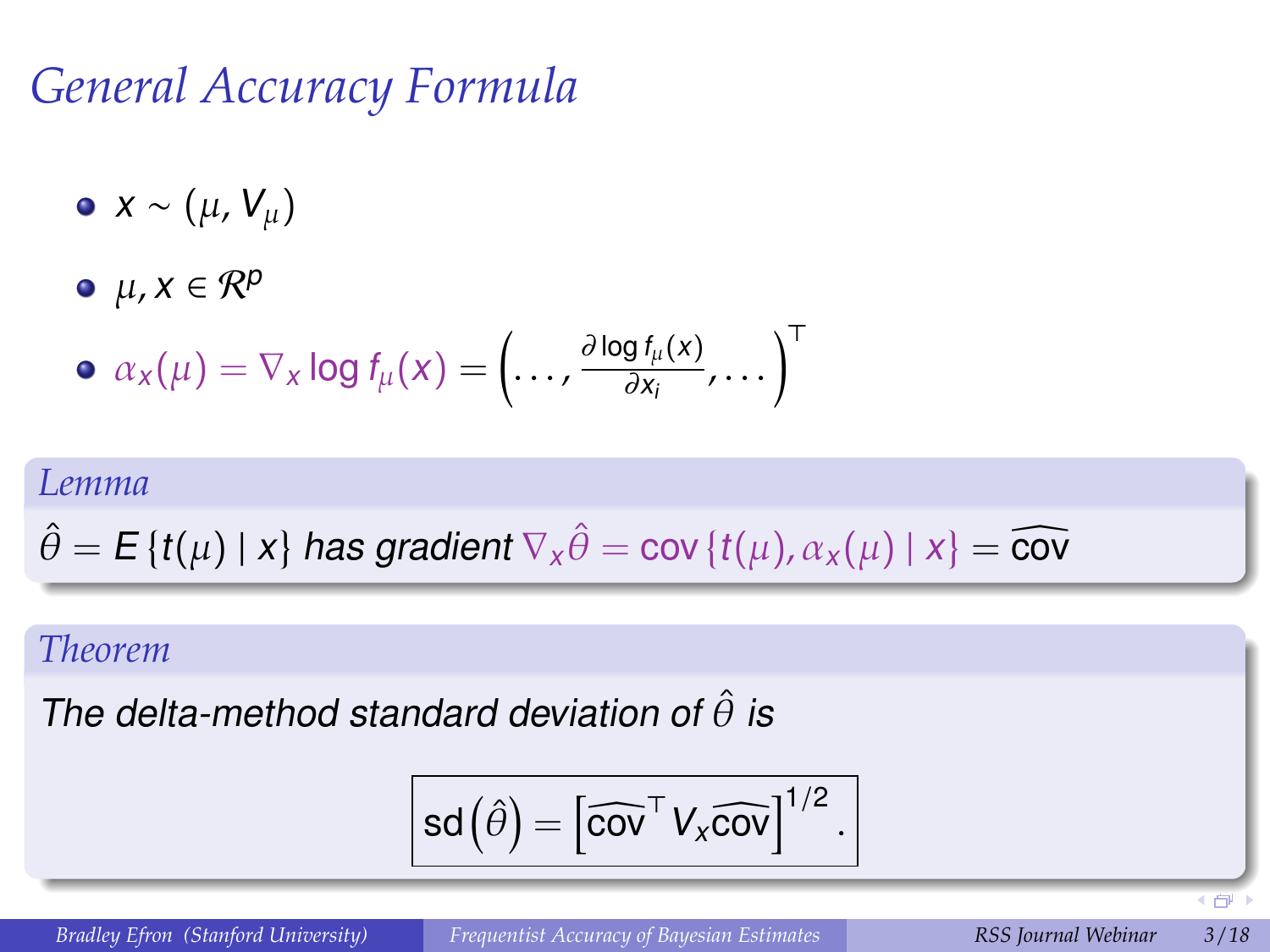## *General Accuracy Formula*

- $\bullet$  *x* ~ ( $\mu$ ,  $V_{\mu}$ )
- $\bullet$   $\mu$ ,  $x \in \mathcal{R}^p$

$$
\bullet \ \alpha_{x}(\mu) = \nabla_{x} \log f_{\mu}(x) = \left(\ldots, \frac{\partial \log f_{\mu}(x)}{\partial x_{i}}, \ldots\right)^{\mathrm{T}}
$$

#### *Lemma*

$$
\hat{\theta} = \mathbf{E}\left\{t(\mu) \mid x\right\} \text{ has gradient } \nabla_x \hat{\theta} = \text{cov}\left\{t(\mu), \alpha_x(\mu) \mid x\right\} = \widehat{\text{cov}}
$$

#### *Theorem*

The delta-method standard deviation of  $\hat{\theta}$  is

$$
\text{sd}\left(\hat{\theta}\right)=\left[\widehat{\text{cov}}^{\top} \, V_x \widehat{\text{cov}}\right]^{1/2}.
$$

**4 向**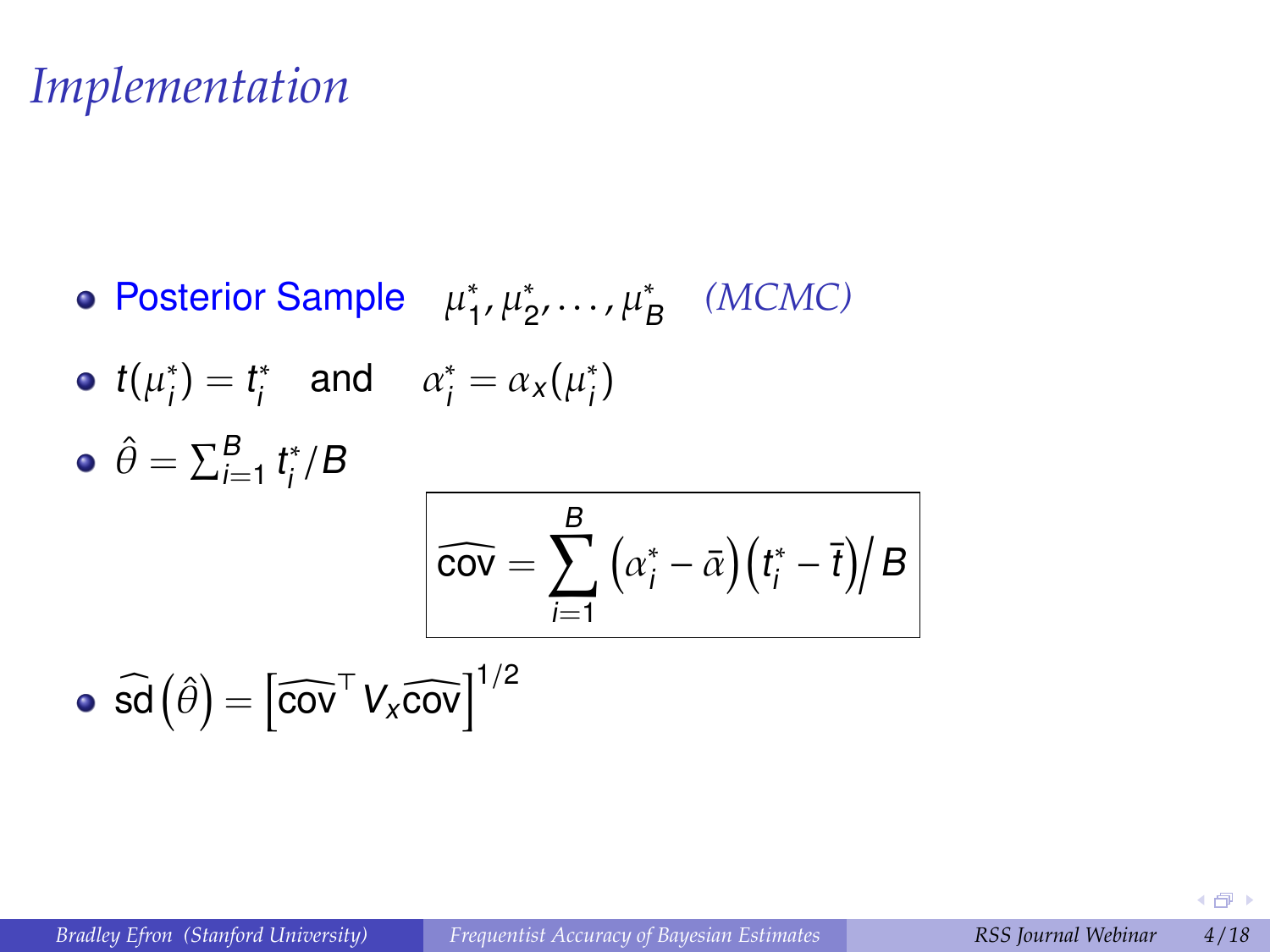### *Implementation*

Posterior Sample  $\mu_1^*$  $_{1}^{*}, \mu_{2}^{*}, \ldots, \mu_{B}^{*}$  (*MCMC*)

• 
$$
t(\mu_i^*) = t_i^*
$$
 and  $\alpha_i^* = \alpha_x(\mu_i^*)$ 

$$
\hat{\theta} = \sum_{i=1}^{B} t_i^*/B
$$
\n
$$
\widehat{\text{cov}} = \sum_{i=1}^{B} (\alpha_i^* - \bar{\alpha})(t_i^* - \bar{t})/B
$$

$$
\bullet \ \widehat{\text{sd}}\left(\widehat{\theta}\right) = \left[\widehat{\text{cov}}^{\top} \, V_x \widehat{\text{cov}}\right]^{1/2}
$$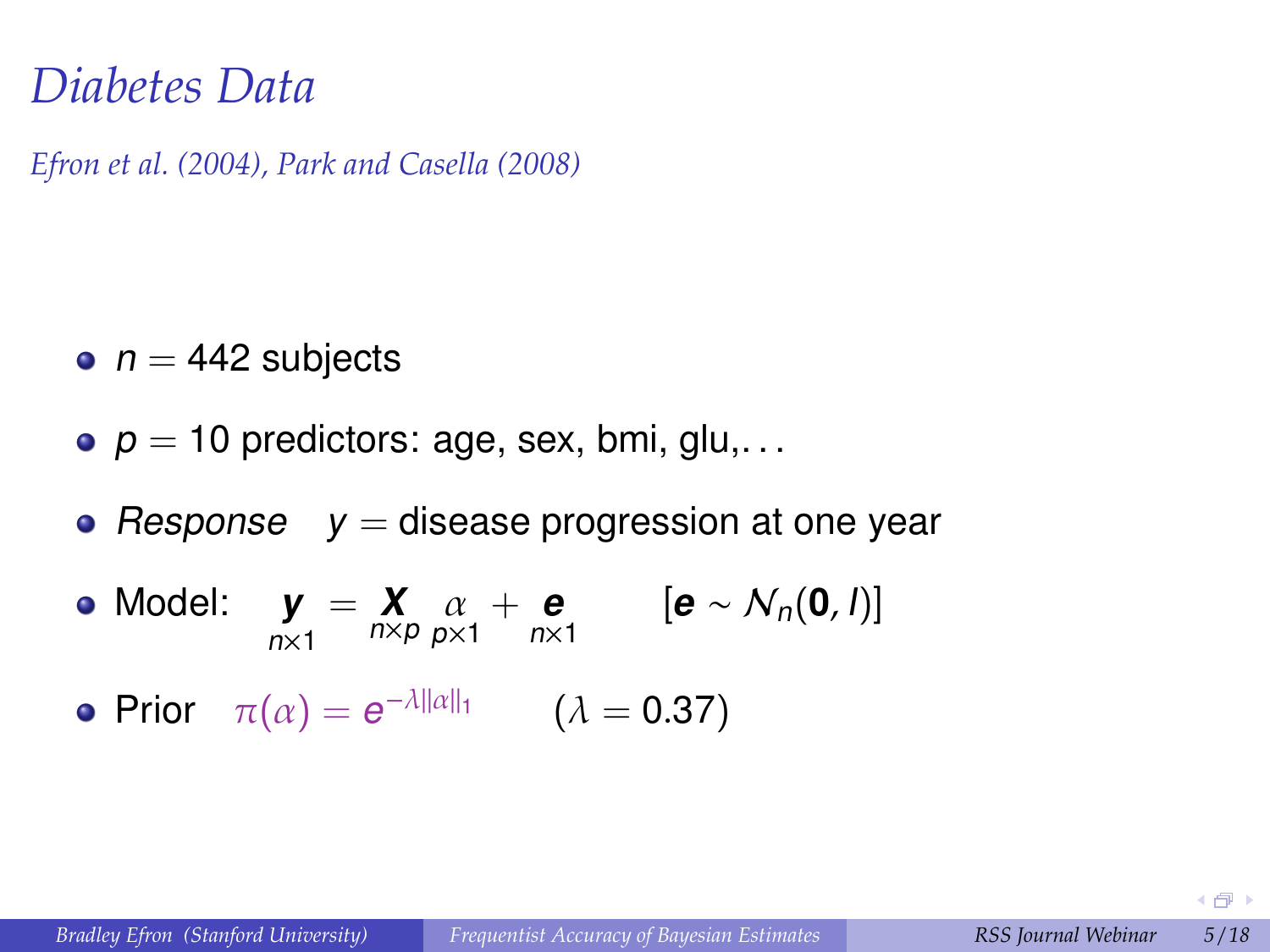#### *Diabetes Data*

*Efron et al. (2004), Park and Casella (2008)*

- $n = 442$  subjects
- $\rho = 10$  predictors: age, sex, bmi, glu,...
- Response  $y =$  disease progression at one year
- Model: **y**  $n\times1$  $=\mathbf{X}$   $\alpha$  + **e**  $[\mathbf{e} \sim \mathcal{N}_n(\mathbf{0}, I)]$
- Prior  $\pi(\alpha) = e^{-\lambda ||\alpha||_1}$   $(\lambda = 0.37)$

4 伊 ▶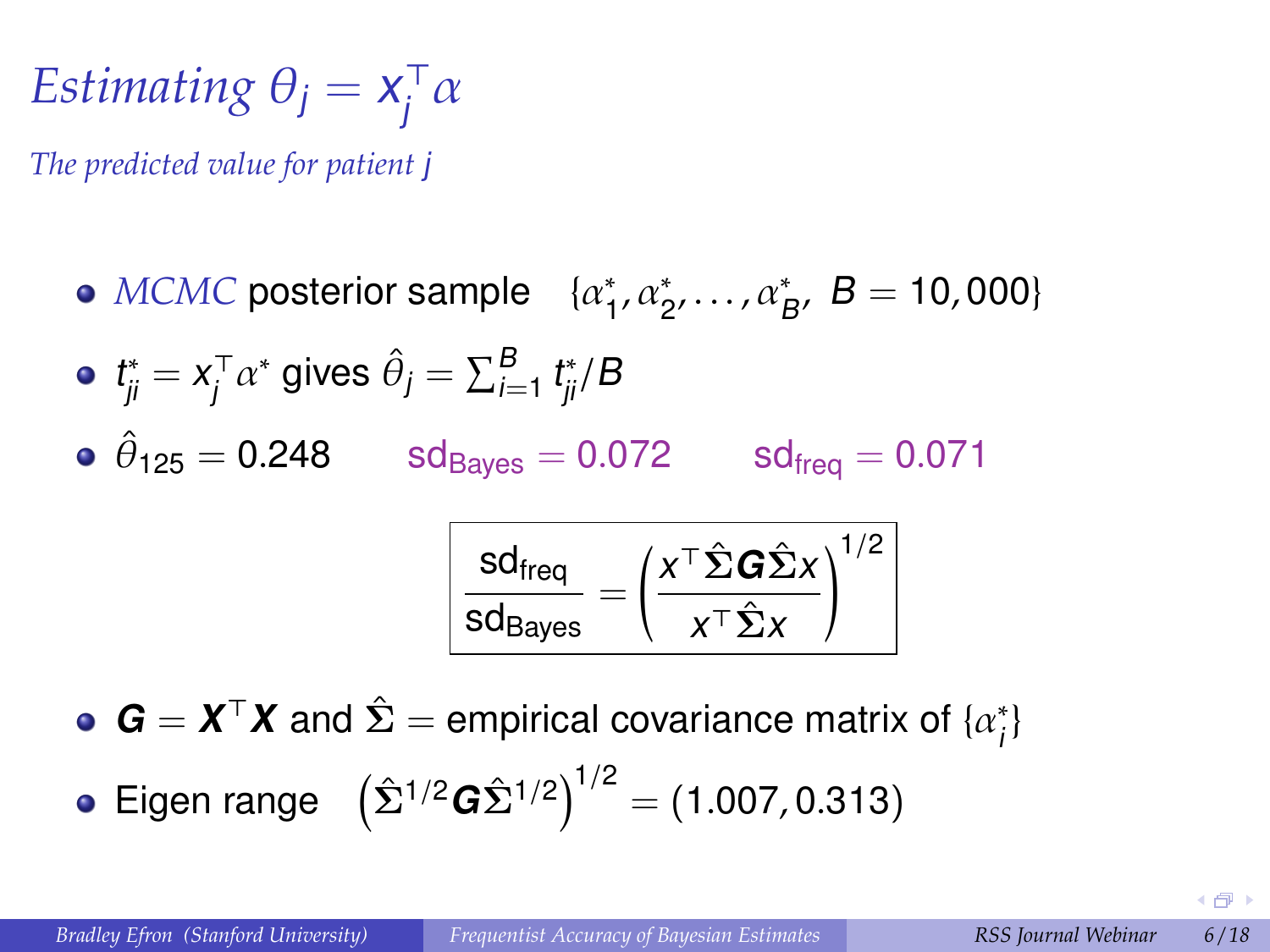$$
Estimating \theta_j = x_j^{\top} \alpha
$$

*The predicted value for patient* j

 $MCMC$  posterior sample  $\{ \alpha_1^* \}$  $_{1}^{*}, \alpha_{2}^{*}, \ldots, \alpha_{B}^{*}, B = 10,000$  $t_{ji}^* = x_j^\top$  $j^\top \alpha^*$  gives  $\hat{\theta}_j = \sum_{i=1}^B t_{ji}^*/B$  $\hat{\theta}_{125} = 0.248$  sd<sub>Bayes</sub>  $= 0.072$  sd<sub>freq</sub>  $= 0.071$ sd<sub>freq</sub>  $\frac{100}{\text{sd}_{\text{Bayes}}} =$  x <sup>&</sup>gt;Σˆ **G**Σˆ x x <sup>&</sup>gt;Σˆ x  $1/2$ 

 $\mathbf{G} = \mathbf{X}^{\top} \mathbf{X}$  and  $\hat{\mathbf{\Sigma}} =$  empirical covariance matrix of  $\{\alpha_i^*\}$ i }

• Eigen range 
$$
(\hat{\Sigma}^{1/2} \mathbf{G} \hat{\Sigma}^{1/2})^{1/2} = (1.007, 0.313)
$$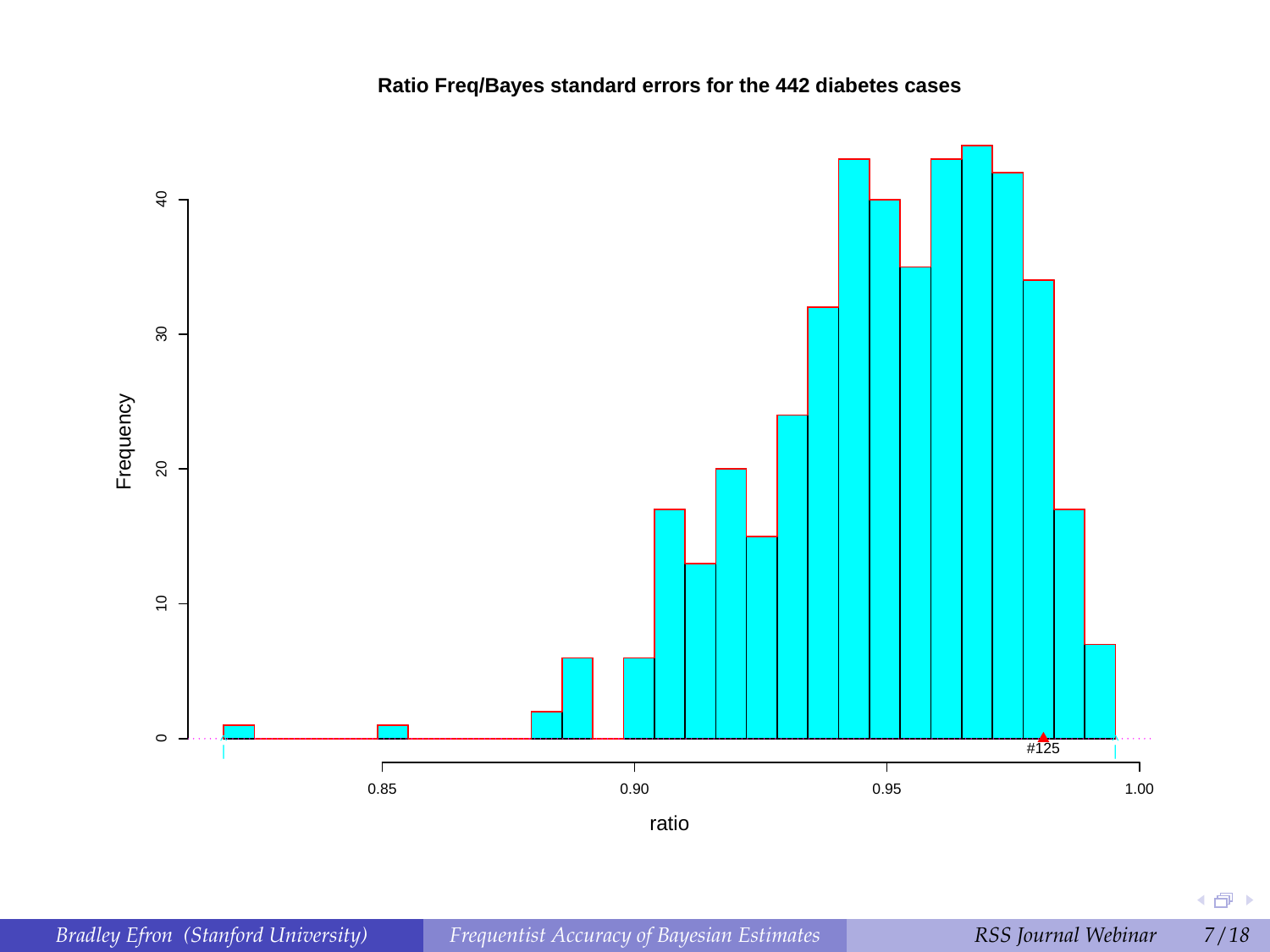

4 倒 下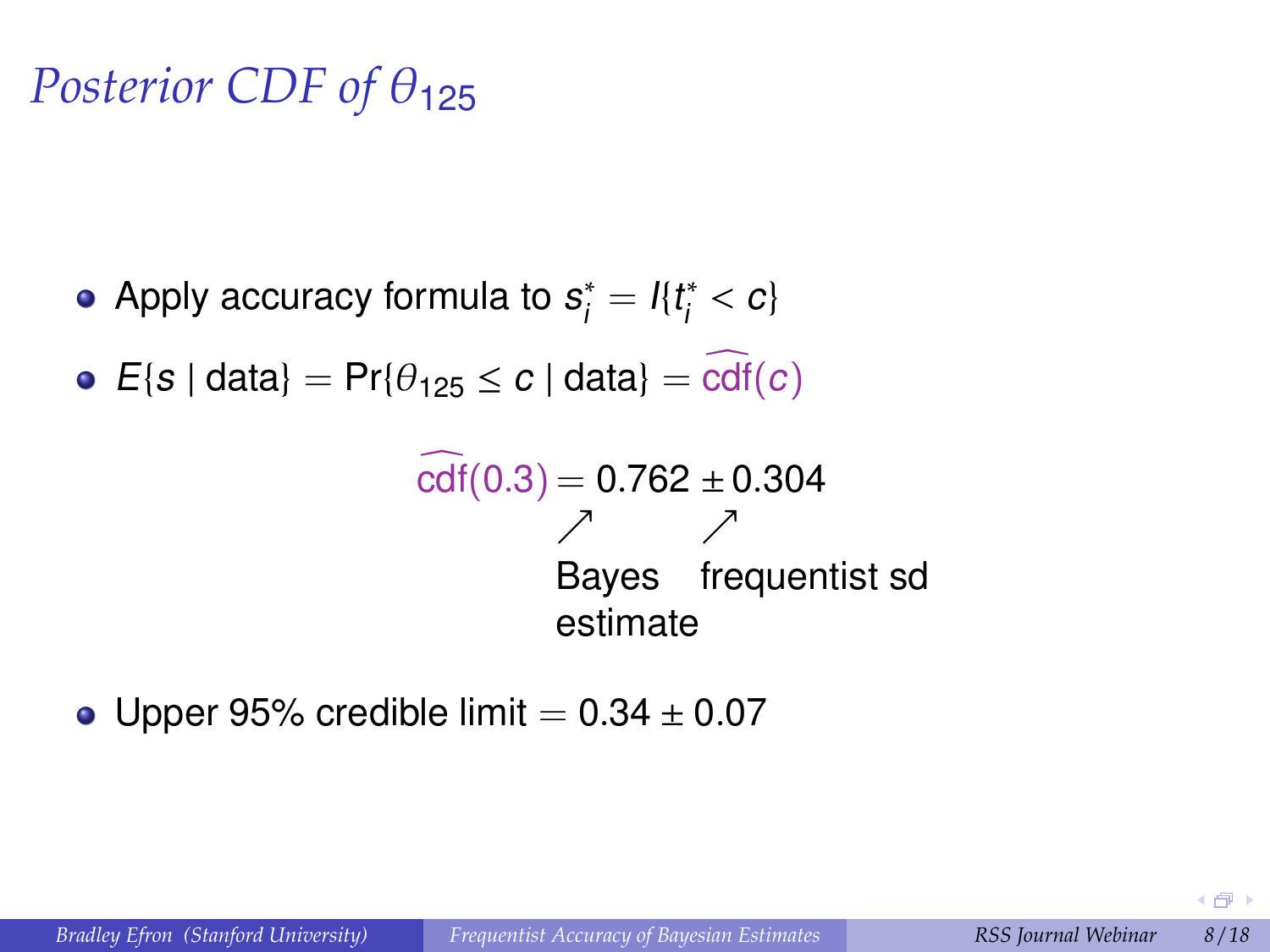# *Posterior CDF of* θ<sup>125</sup>

- Apply accuracy formula to  $s_i^*$  $t_i^* = I_{i} t_i^*$  $i^*$  < c}
- $E\{s \mid data\} = Pr\{\theta_{125} \le c \mid data\} = cdf(c)$

cdf <sup>c</sup>(0.3) <sup>=</sup> <sup>0</sup>.<sup>762</sup> <sup>±</sup>0.<sup>304</sup> % % Bayes frequentist sd estimate

• Upper 95% credible limit  $= 0.34 \pm 0.07$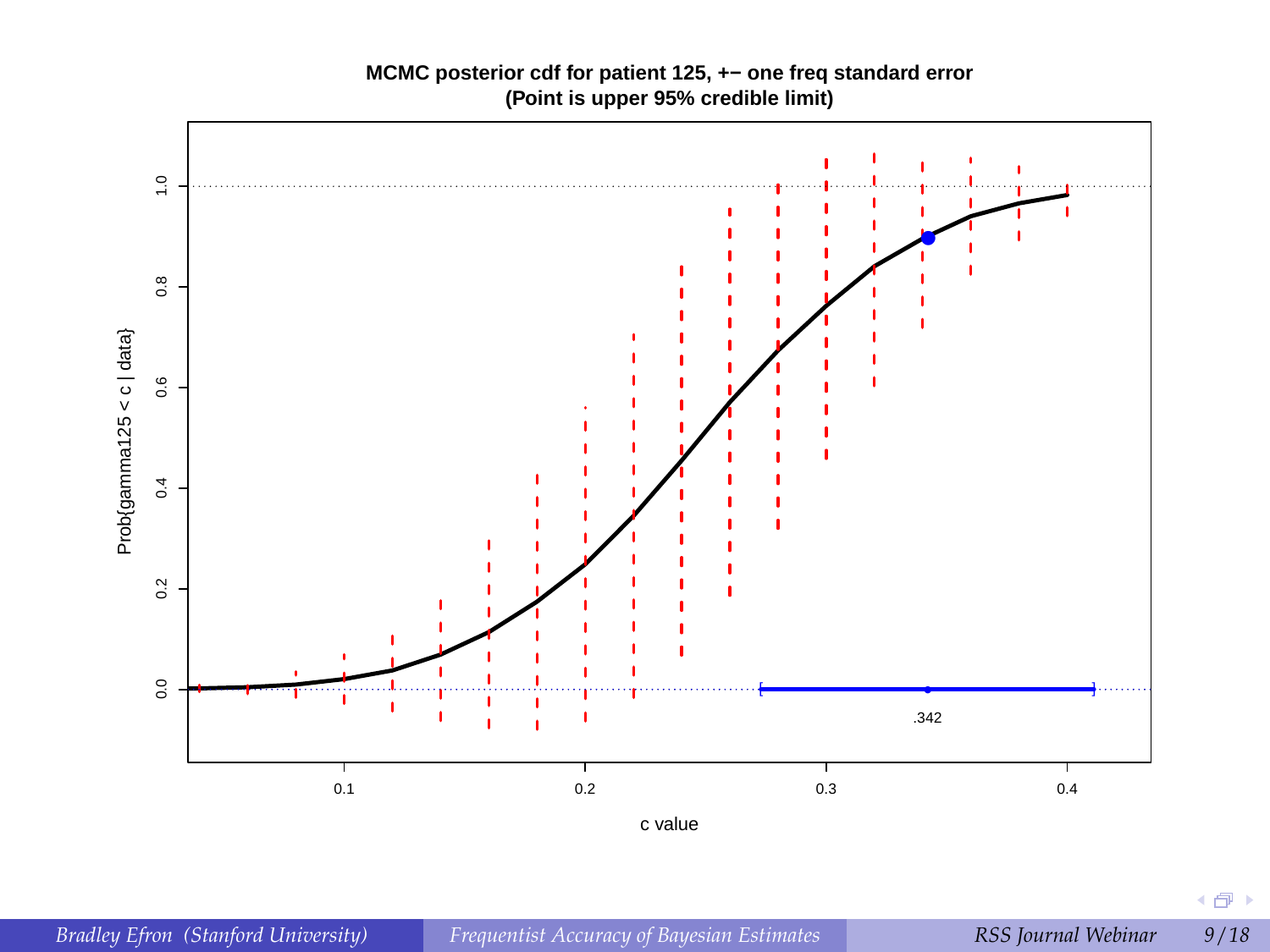#### **MCMC posterior cdf for patient 125, +− one freq standard error (Point is upper 95% credible limit)**

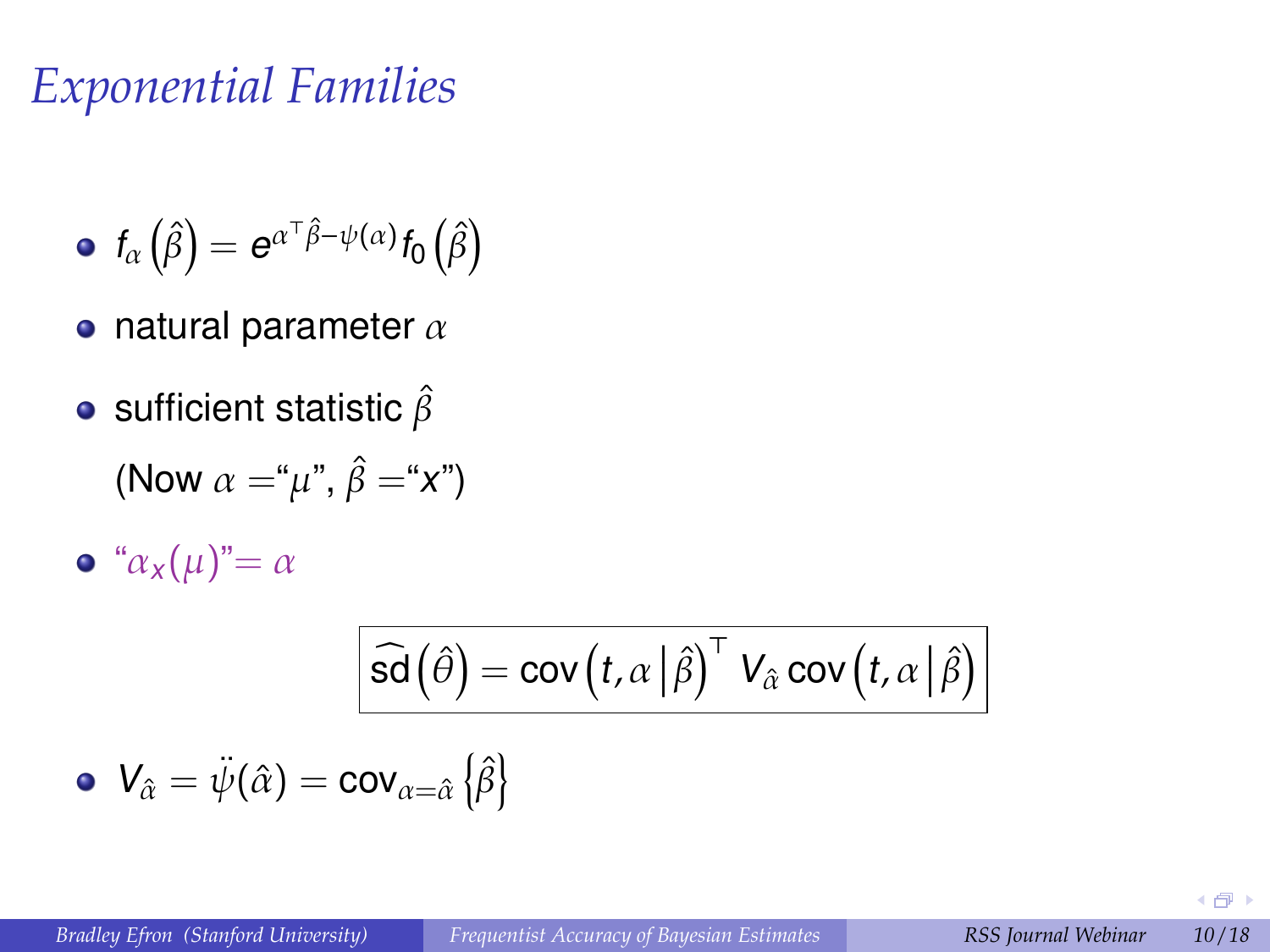## *Exponential Families*

• 
$$
f_{\alpha}(\hat{\beta}) = e^{\alpha^{\top} \hat{\beta} - \psi(\alpha)} f_0(\hat{\beta})
$$

- natural parameter  $\alpha$
- sufficient statistic  $\hat{\beta}$

$$
(\text{Now } \alpha = \mu^*, \hat{\beta} = \mu^*x^*)
$$

$$
\bullet \ \ ^{\omega}\alpha_{x}(\mu)^{n} = \alpha
$$

$$
\boxed{\widehat{\mathsf{sd}}\left(\widehat{\theta}\right)=\mathsf{cov}\left(t,\alpha\,\big|\,\widehat{\beta}\right)^{\top} \mathsf{V}_{\widehat{\alpha}} \mathsf{cov}\left(t,\alpha\,\big|\,\widehat{\beta}\right)}\\ \bullet\;\mathsf{V}_{\widehat{\alpha}}=\ddot{\psi}(\widehat{\alpha})=\mathsf{cov}_{\alpha=\widehat{\alpha}}\left\{\widehat{\beta}\right\}
$$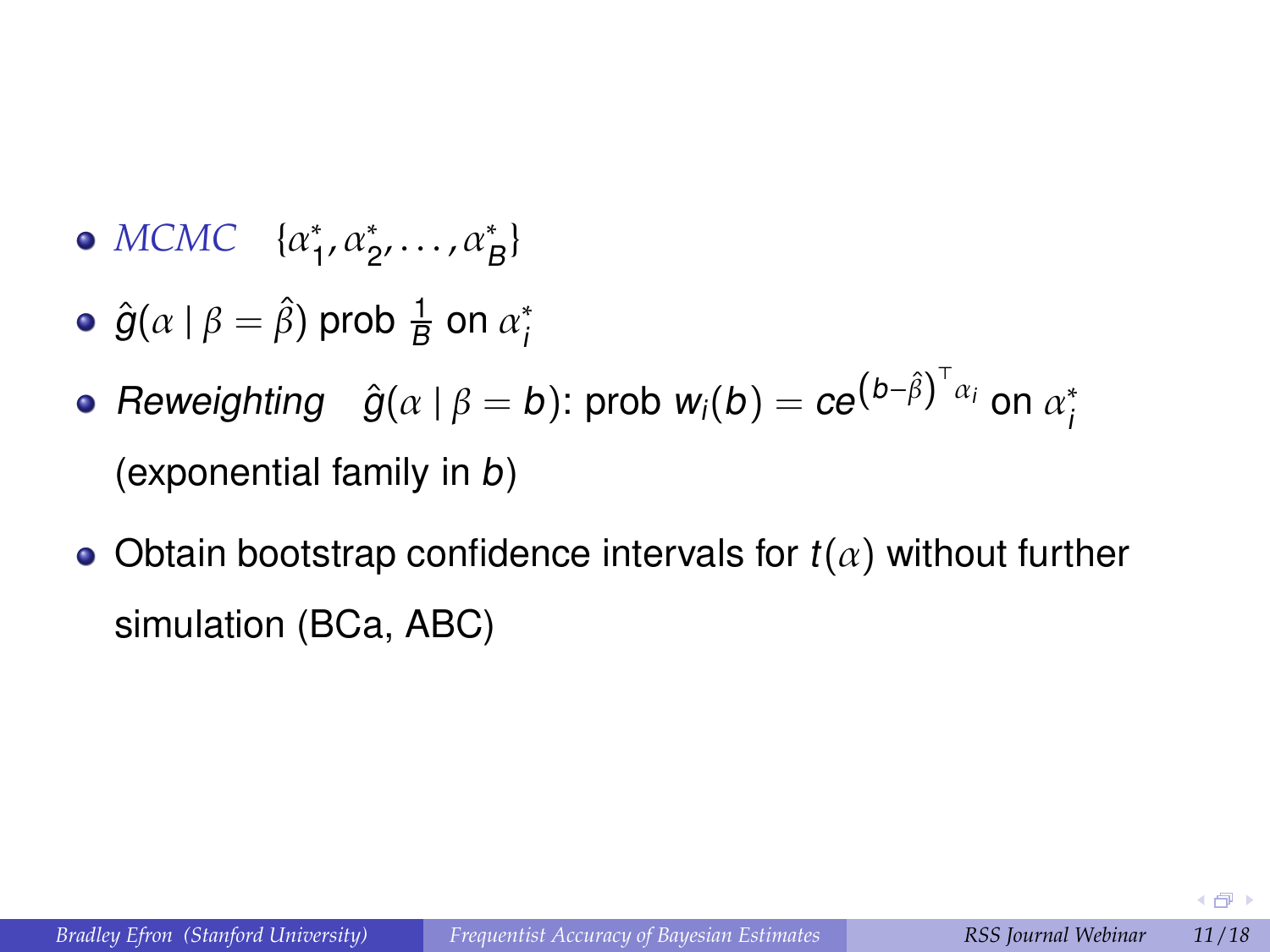- *MCMC* {α ∗  $x_1^*, \alpha_2^*, \ldots, \alpha_B^*$
- $\hat{g}(\alpha \mid \beta = \hat{\beta})$  prob  $\frac{1}{B}$  on  $\alpha_i^*$ i
- Reweighting  $\hat{g}(\alpha \mid \beta = b)$ : prob  $w_i(b) = ce^{\left(b \hat{\beta}\right)^\top \alpha_i}$  on  $\alpha_i^*$ i (exponential family in b)
- Obtain bootstrap confidence intervals for  $t(\alpha)$  without further simulation (BCa, ABC)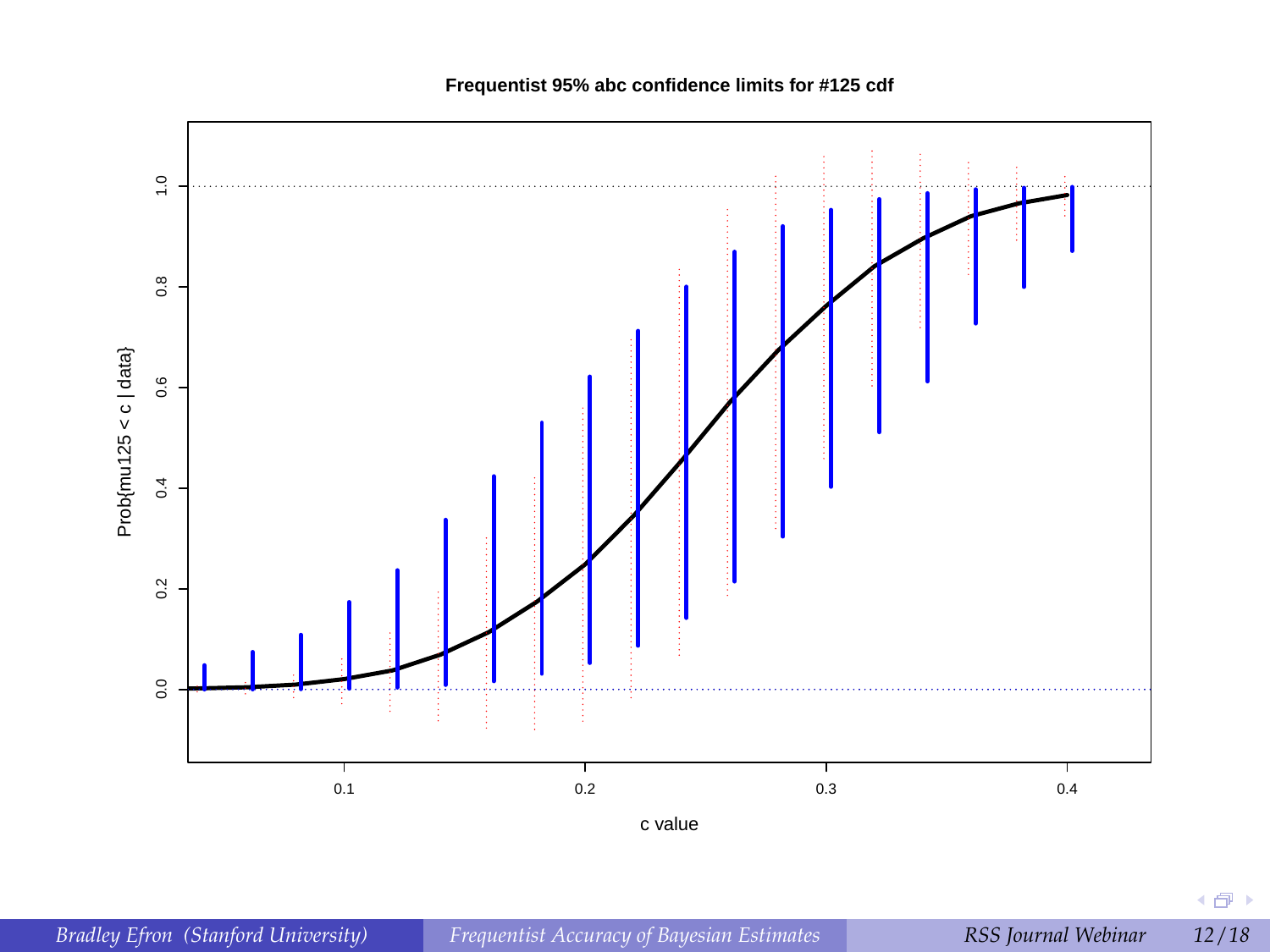

**Frequentist 95% abc confidence limits for #125 cdf**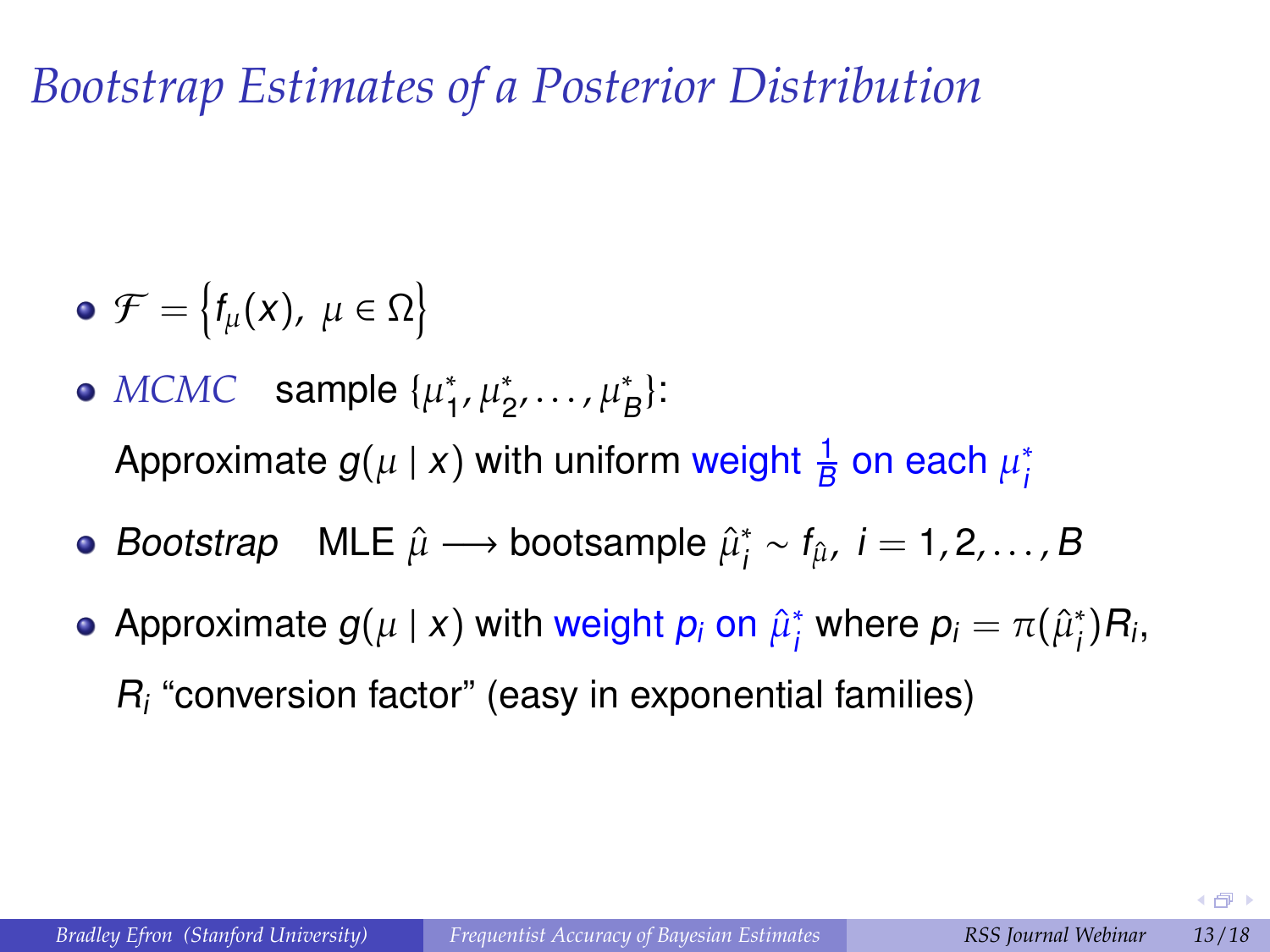*Bootstrap Estimates of a Posterior Distribution*

- $\mathcal{F} = \big\{ f_{\mu}(\mathsf{x}), \; \mu \in \Omega \big\}$
- $MCMC$  sample  $\{\mu_1^*\}$  $_{1}^{*}, \mu_{2}^{*}, \ldots, \mu_{B}^{*}$ : Approximate  $g(\mu \mid x)$  with uniform weight  $\frac{1}{B}$  on each  $\mu^*_i$ i
- Bootstrap MLE  $\hat{\mu} \longrightarrow$  bootsample  $\hat{\mu}_i^*$  $i_i^* \sim f_{\hat{\mu}}, i = 1, 2, ..., B$
- Approximate  $g(\mu \mid x)$  with weight  $p_i$  on  $\hat{\mu}_i^*$  $j^*$  where  $p_i = \pi(\hat{\mu}_i^*)$  $j^*$ ) $R_i$ ,  $R_i$  "conversion factor" (easy in exponential families)

 $\leftarrow$   $\leftarrow$   $\rightarrow$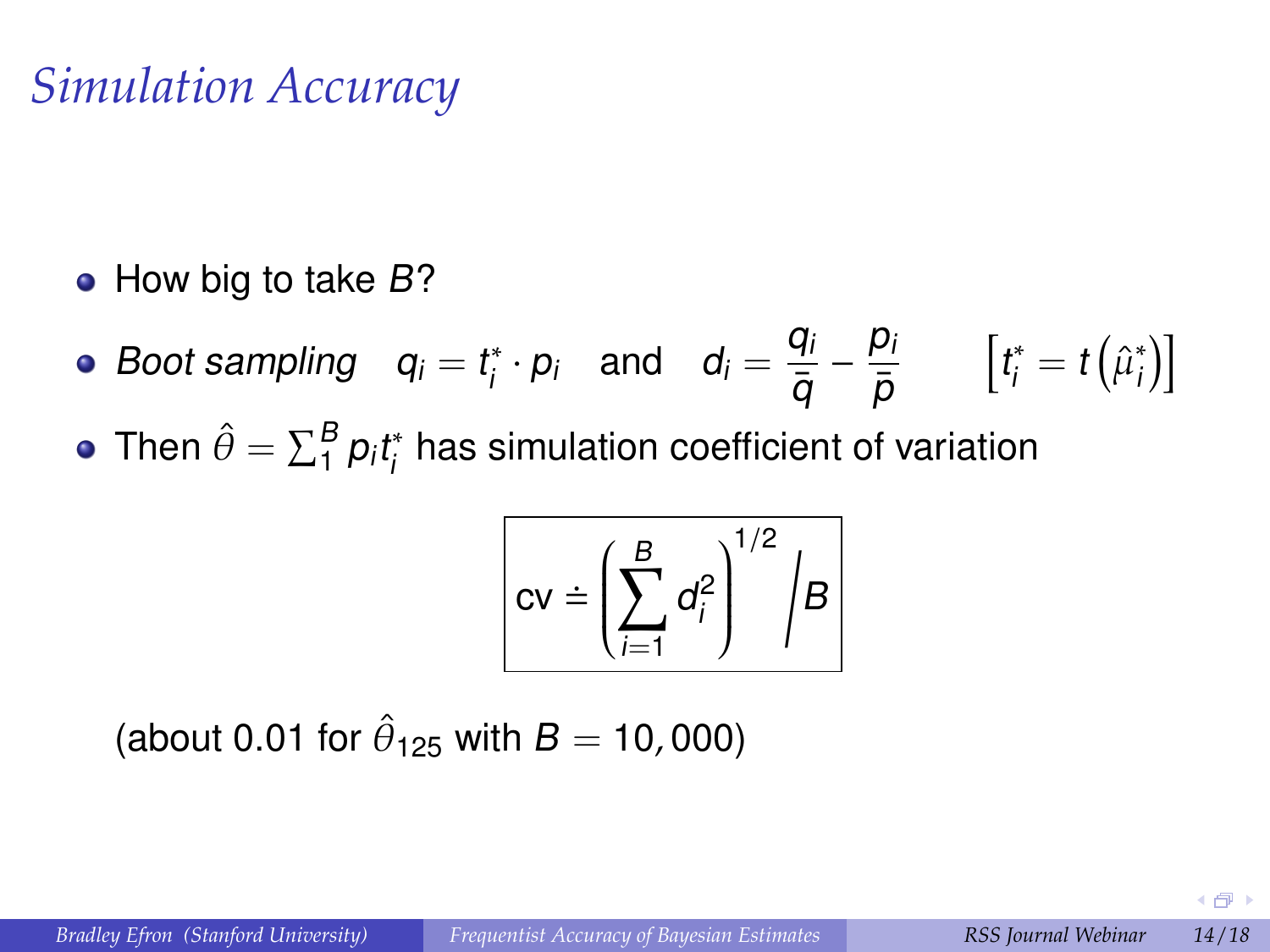### *Simulation Accuracy*

 $\bullet$  How big to take B?

- Boot sampling  $q_i = t_i^*$  $\mathcal{G}_i^* \cdot \mathcal{p}_i$  and  $\mathcal{d}_i = \frac{q_i}{\overline{\alpha}}$  $\bar{q}$  $-\frac{p_i}{\tau}$  $\bar{\rho}$  $\left[t^*_i = t\left(\hat{\mu}^*_i\right)\right]$  $\left[\begin{smallmatrix} * \ 0 \end{smallmatrix}\right]$
- Then  $\hat{\theta} = \sum_{1}^{B} p_i t_i^*$  $\frac{\pi}{l}$  has simulation coefficient of variation

$$
cv = \left(\sum_{i=1}^{B} d_i^2\right)^{1/2} / B
$$

(about 0.01 for  $\hat{\theta}_{125}$  with  $B=10,000$ )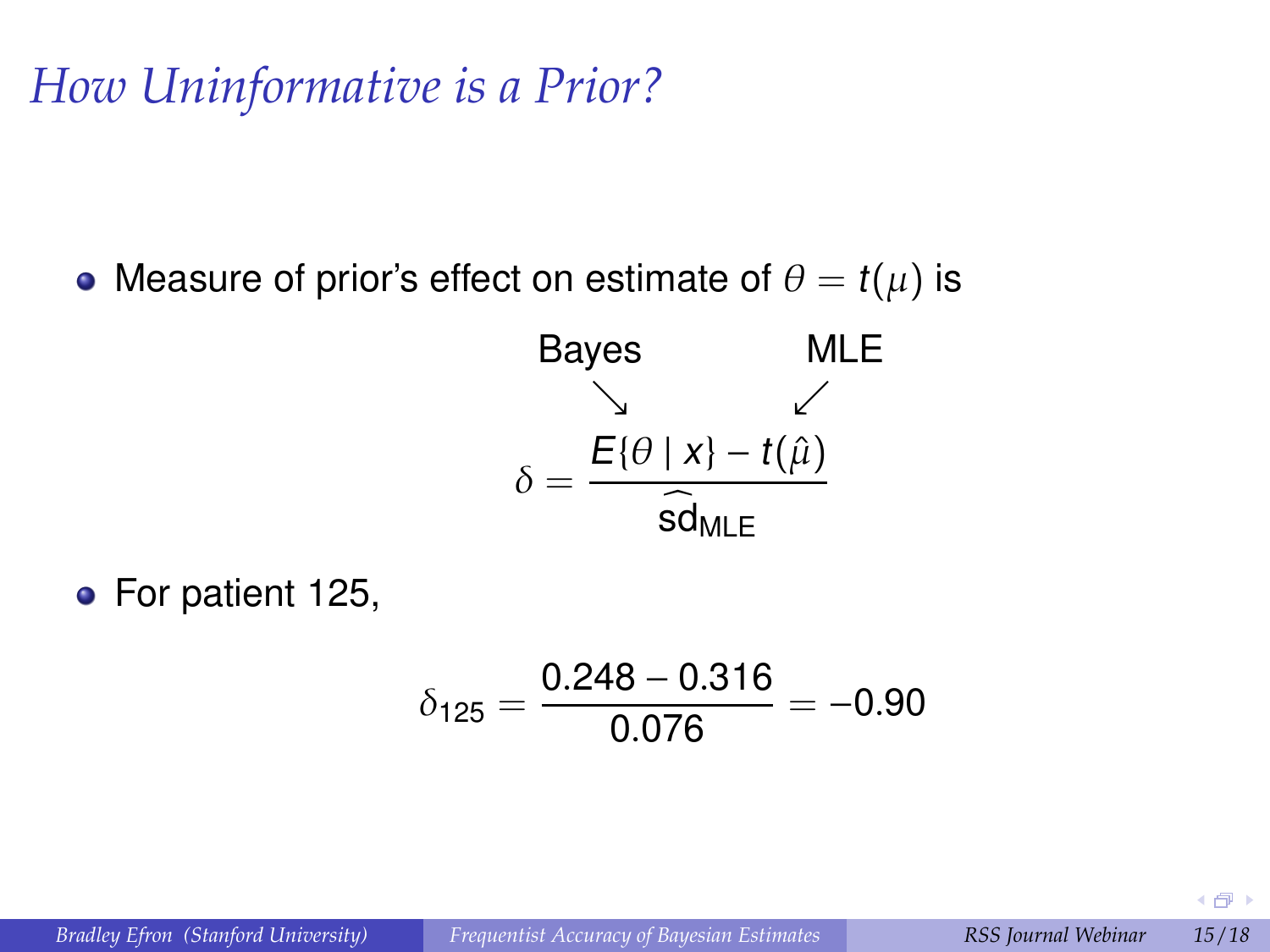*How Uninformative is a Prior?*

• Measure of prior's effect on estimate of  $\theta = t(\mu)$  is

Bayes MLE  
\n
$$
\delta = \frac{E\{\theta \mid x\} - t(\hat{\mu})}{\widehat{sd}_{MLE}}
$$

• For patient 125,

$$
\delta_{125}=\frac{0.248-0.316}{0.076}=-0.90
$$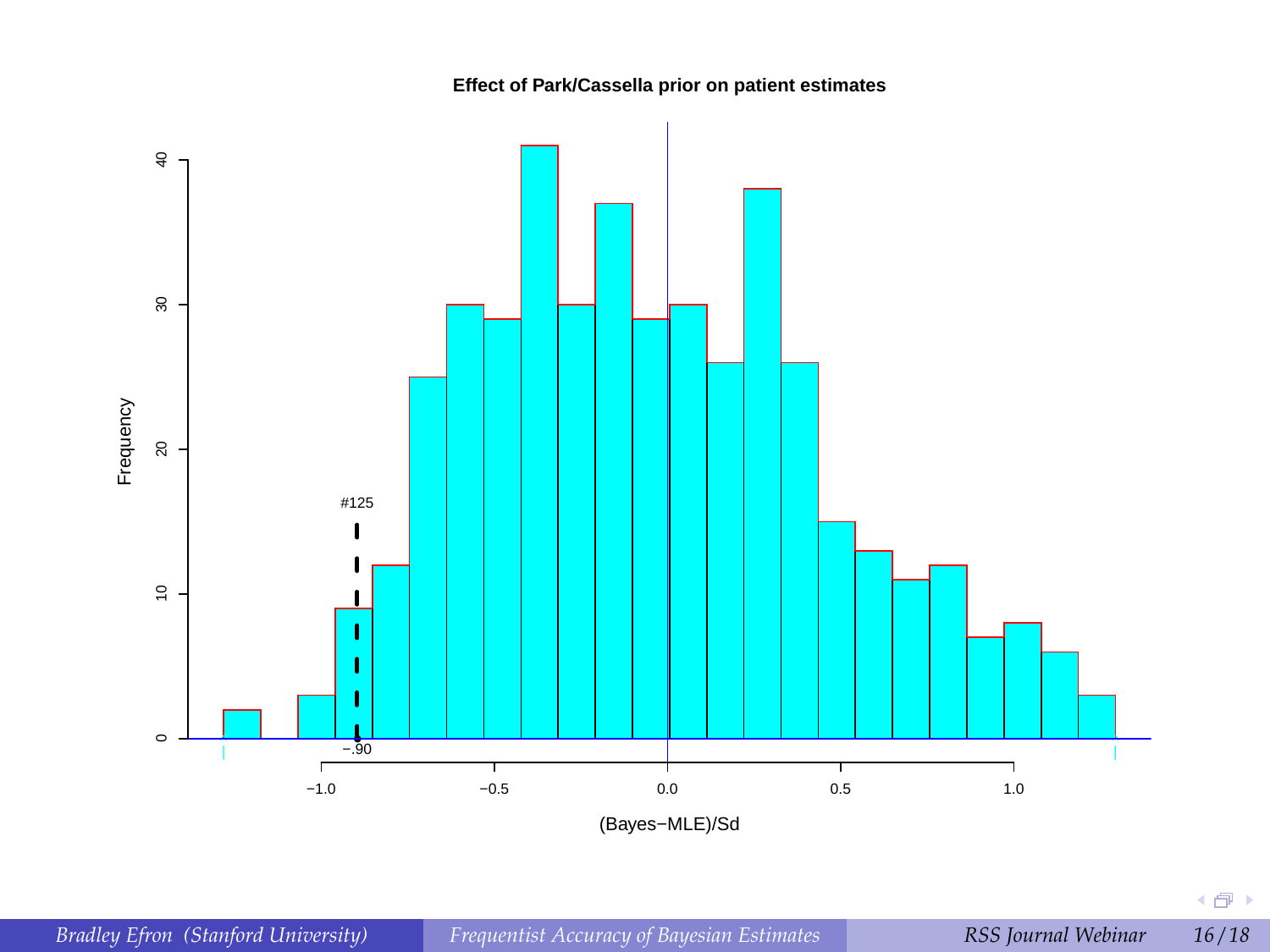**Effect of Park/Cassella prior on patient estimates**



4点)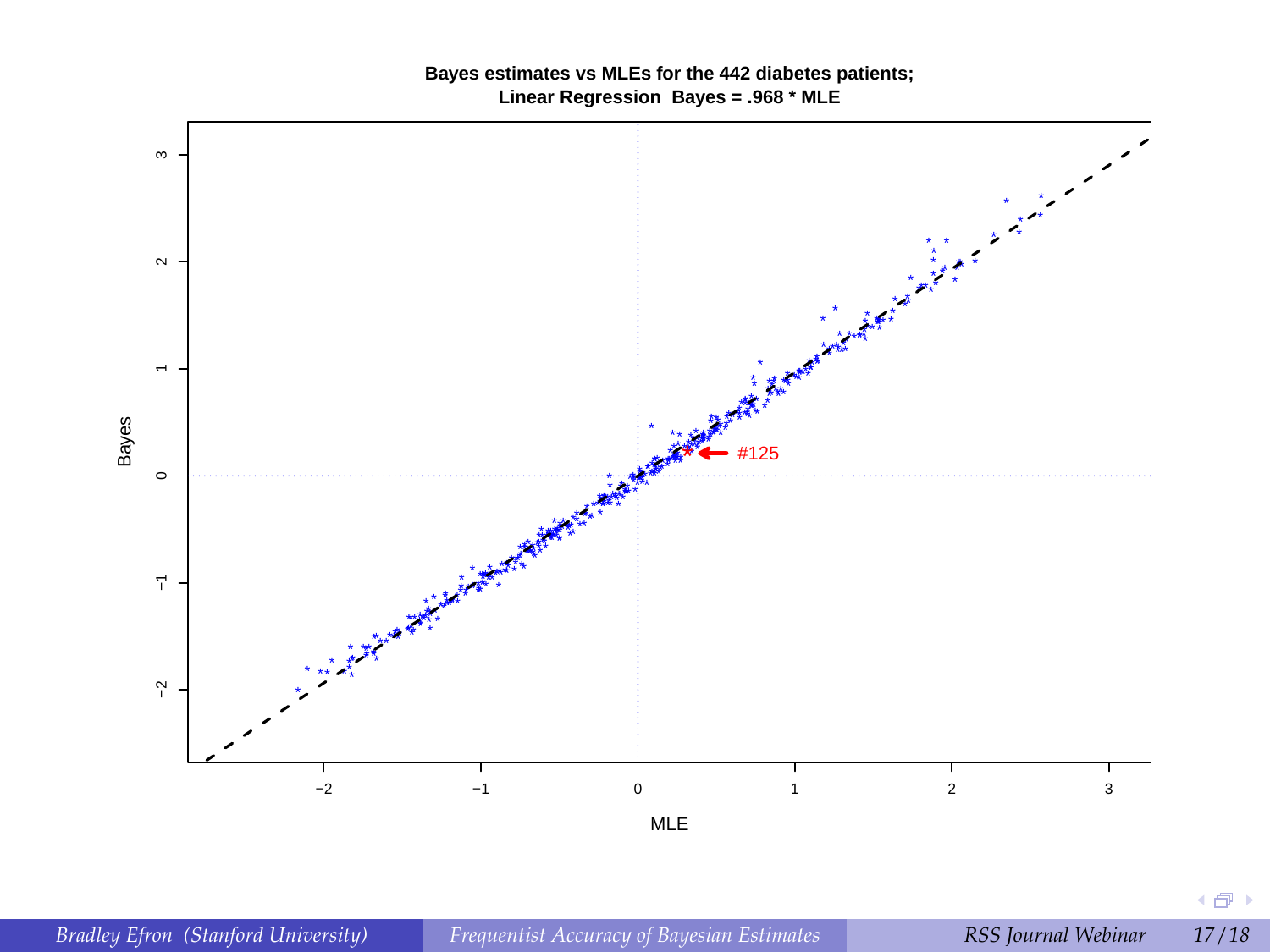

#### **Bayes estimates vs MLEs for the 442 diabetes patients; Linear Regression Bayes = .968 \* MLE**

4 倒 8